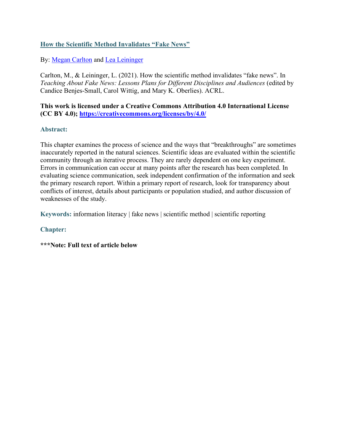#### **How the Scientific Method Invalidates "Fake News"**

By: [Megan Carlton](http://libres.uncg.edu/ir/uncg/clist.aspx?id=20355) and [Lea Leininger](http://libres.uncg.edu/ir/uncg/clist.aspx?id=36)

Carlton, M., & Leininger, L. (2021). How the scientific method invalidates "fake news". In *Teaching About Fake News: Lessons Plans for Different Disciplines and Audiences* (edited by Candice Benjes-Small, Carol Wittig, and Mary K. Oberlies). ACRL.

**This work is licensed under a Creative Commons Attribution 4.0 International License (CC BY 4.0); <https://creativecommons.org/licenses/by/4.0/>**

#### **Abstract:**

This chapter examines the process of science and the ways that "breakthroughs" are sometimes inaccurately reported in the natural sciences. Scientific ideas are evaluated within the scientific community through an iterative process. They are rarely dependent on one key experiment. Errors in communication can occur at many points after the research has been completed. In evaluating science communication, seek independent confirmation of the information and seek the primary research report. Within a primary report of research, look for transparency about conflicts of interest, details about participants or population studied, and author discussion of weaknesses of the study.

**Keywords:** information literacy | fake news | scientific method | scientific reporting

#### **Chapter:**

**\*\*\*Note: Full text of article below**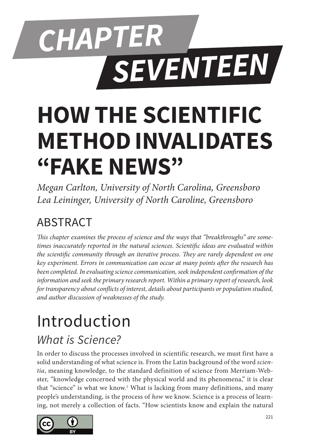# *CHAPTER SEVENTEEN*

# HOW THE SCIENTIFIC METHOD INVALIDATES "FAKE NEWS"

*Megan Carlton, University of North Carolina, Greensboro Lea Leininger, University of North Caroline, Greensboro*

### ABSTRACT

*This chapter examines the process of science and the ways that "breakthroughs" are sometimes inaccurately reported in the natural sciences. Scientific ideas are evaluated within the scientific community through an iterative process. They are rarely dependent on one key experiment. Errors in communication can occur at many points after the research has been completed. In evaluating science communication, seek independent confirmation of the information and seek the primary research report. Within a primary report of research, look for transparency about conflicts of interest, details about participants or population studied, and author discussion of weaknesses of the study.*

### Introduction *What is Science?*

In order to discuss the processes involved in scientific research, we must first have a solid understanding of what science is. From the Latin background of the word *scientia*, meaning knowledge, to the standard definition of science from Merriam-Webster, "knowledge concerned with the physical world and its phenomena," it is clear that "science" is what we know.<sup>1</sup> What is lacking from many definitions, and many people's understanding, is the process of *how* we know. Science is a process of learning, not merely a collection of facts. "How scientists know and explain the natural

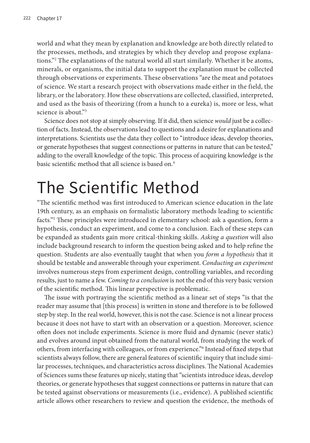world and what they mean by explanation and knowledge are both directly related to the processes, methods, and strategies by which they develop and propose explanations."2 The explanations of the natural world all start similarly. Whether it be atoms, minerals, or organisms, the initial data to support the explanation must be collected through observations or experiments. These observations "are the meat and potatoes of science. We start a research project with observations made either in the field, the library, or the laboratory. How these observations are collected, classified, interpreted, and used as the basis of theorizing (from a hunch to a eureka) is, more or less, what science is about."<sup>3</sup>

Science does not stop at simply observing. If it did, then science *would* just be a collection of facts. Instead, the observations lead to questions and a desire for explanations and interpretations. Scientists use the data they collect to "introduce ideas, develop theories, or generate hypotheses that suggest connections or patterns in nature that can be tested," adding to the overall knowledge of the topic. This process of acquiring knowledge is the basic scientific method that all science is based on.4

# The Scientific Method

"The scientific method was first introduced to American science education in the late 19th century, as an emphasis on formalistic laboratory methods leading to scientific facts."5 These principles were introduced in elementary school: ask a question, form a hypothesis, conduct an experiment, and come to a conclusion. Each of these steps can be expanded as students gain more critical-thinking skills. *Asking a question* will also include background research to inform the question being asked and to help refine the question. Students are also eventually taught that when you *form a hypothesis* that it should be testable and answerable through your experiment. *Conducting an experiment* involves numerous steps from experiment design, controlling variables, and recording results, just to name a few. *Coming to a conclusion* is not the end of this very basic version of the scientific method. This linear perspective is problematic.

The issue with portraying the scientific method as a linear set of steps "is that the reader may assume that [this process] is written in stone and therefore is to be followed step by step. In the real world, however, this is not the case. Science is not a linear process because it does not have to start with an observation or a question. Moreover, science often does not include experiments. Science is more fluid and dynamic (never static) and evolves around input obtained from the natural world, from studying the work of others, from interfacing with colleagues, or from experience."6 Instead of fixed steps that scientists always follow, there are general features of scientific inquiry that include similar processes, techniques, and characteristics across disciplines. The National Academies of Sciences sums these features up nicely, stating that "scientists introduce ideas, develop theories, or generate hypotheses that suggest connections or patterns in nature that can be tested against observations or measurements (i.e., evidence). A published scientific article allows other researchers to review and question the evidence, the methods of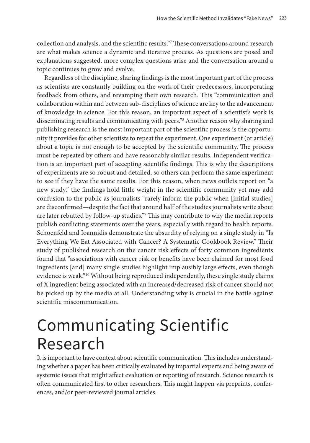collection and analysis, and the scientific results."7 These conversations around research are what makes science a dynamic and iterative process. As questions are posed and explanations suggested, more complex questions arise and the conversation around a topic continues to grow and evolve.

Regardless of the discipline, sharing findings is the most important part of the process as scientists are constantly building on the work of their predecessors, incorporating feedback from others, and revamping their own research. This "communication and collaboration within and between sub-disciplines of science are key to the advancement of knowledge in science. For this reason, an important aspect of a scientist's work is disseminating results and communicating with peers."8 Another reason why sharing and publishing research is the most important part of the scientific process is the opportunity it provides for other scientists to repeat the experiment. One experiment (or article) about a topic is not enough to be accepted by the scientific community. The process must be repeated by others and have reasonably similar results. Independent verification is an important part of accepting scientific findings. This is why the descriptions of experiments are so robust and detailed, so others can perform the same experiment to see if they have the same results. For this reason, when news outlets report on "a new study," the findings hold little weight in the scientific community yet may add confusion to the public as journalists "rarely inform the public when [initial studies] are disconfirmed—despite the fact that around half of the studies journalists write about are later rebutted by follow-up studies."9 This may contribute to why the media reports publish conflicting statements over the years, especially with regard to health reports. Schoenfeld and Ioannidis demonstrate the absurdity of relying on a single study in "Is Everything We Eat Associated with Cancer? A Systematic Cookbook Review." Their study of published research on the cancer risk effects of forty common ingredients found that "associations with cancer risk or benefits have been claimed for most food ingredients [and] many single studies highlight implausibly large effects, even though evidence is weak."<sup>10</sup> Without being reproduced independently, these single study claims of X ingredient being associated with an increased/decreased risk of cancer should not be picked up by the media at all. Understanding why is crucial in the battle against scientific miscommunication.

### Communicating Scientific Research

It is important to have context about scientific communication. This includes understanding whether a paper has been critically evaluated by impartial experts and being aware of systemic issues that might affect evaluation or reporting of research. Science research is often communicated first to other researchers. This might happen via preprints, conferences, and/or peer-reviewed journal articles.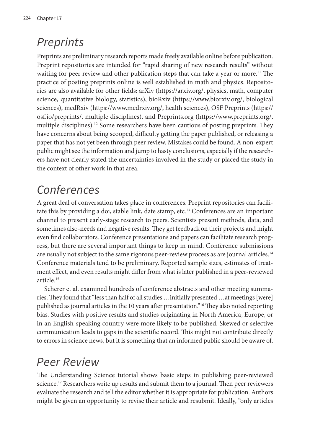### *Preprints*

Preprints are preliminary research reports made freely available online before publication. Preprint repositories are intended for "rapid sharing of new research results" without waiting for peer review and other publication steps that can take a year or more.<sup>11</sup> The practice of posting preprints online is well established in math and physics. Repositories are also available for other fields: arXiv ([https://arxiv.org/,](https://arxiv.org/) physics, math, computer science, quantitative biology, statistics), bioRxiv [\(https://www.biorxiv.org/](https://www.biorxiv.org/), biological sciences), medRxiv ([https://www.medrxiv.org/,](https://www.medrxiv.org/) health sciences), OSF Preprints [\(https://](https://osf.io/preprints/) [osf.io/preprints/,](https://osf.io/preprints/) multiple disciplines), and [Preprints.org](http://Preprints.org) (<https://www.preprints.org/>, multiple disciplines).<sup>12</sup> Some researchers have been cautious of posting preprints. They have concerns about being scooped, difficulty getting the paper published, or releasing a paper that has not yet been through peer review. Mistakes could be found. A non-expert public might see the information and jump to hasty conclusions, especially if the researchers have not clearly stated the uncertainties involved in the study or placed the study in the context of other work in that area.

### *Conferences*

A great deal of conversation takes place in conferences. Preprint repositories can facilitate this by providing a doi, stable link, date stamp, etc.13 Conferences are an important channel to present early-stage research to peers. Scientists present methods, data, and sometimes also-needs and negative results. They get feedback on their projects and might even find collaborators. Conference presentations and papers can facilitate research progress, but there are several important things to keep in mind. Conference submissions are usually not subject to the same rigorous peer-review process as are journal articles.<sup>14</sup> Conference materials tend to be preliminary. Reported sample sizes, estimates of treatment effect, and even results might differ from what is later published in a peer-reviewed article.15

Scherer et al. examined hundreds of conference abstracts and other meeting summaries. They found that "less than half of all studies …initially presented …at meetings [were] published as journal articles in the 10 years after presentation."16 They also noted reporting bias. Studies with positive results and studies originating in North America, Europe, or in an English-speaking country were more likely to be published. Skewed or selective communication leads to gaps in the scientific record. This might not contribute directly to errors in science news, but it is something that an informed public should be aware of.

### *Peer Review*

The Understanding Science tutorial shows basic steps in publishing peer-reviewed science.<sup>17</sup> Researchers write up results and submit them to a journal. Then peer reviewers evaluate the research and tell the editor whether it is appropriate for publication. Authors might be given an opportunity to revise their article and resubmit. Ideally, "only articles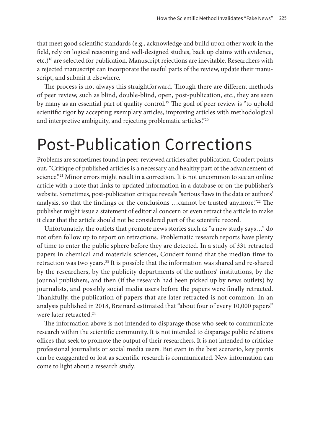that meet good scientific standards (e.g., acknowledge and build upon other work in the field, rely on logical reasoning and well-designed studies, back up claims with evidence, etc.)<sup>18</sup> are selected for publication. Manuscript rejections are inevitable. Researchers with a rejected manuscript can incorporate the useful parts of the review, update their manuscript, and submit it elsewhere.

The process is not always this straightforward. Though there are different methods of peer review, such as blind, double-blind, open, post-publication, etc., they are seen by many as an essential part of quality control.<sup>19</sup> The goal of peer review is "to uphold scientific rigor by accepting exemplary articles, improving articles with methodological and interpretive ambiguity, and rejecting problematic articles."<sup>20</sup>

# Post-Publication Corrections

Problems are sometimes found in peer-reviewed articles after publication. Coudert points out, "Critique of published articles is a necessary and healthy part of the advancement of science."<sup>21</sup> Minor errors might result in a correction. It is not uncommon to see an online article with a note that links to updated information in a database or on the publisher's website. Sometimes, post-publication critique reveals "serious flaws in the data or authors' analysis, so that the findings or the conclusions ...cannot be trusted anymore."<sup>22</sup> The publisher might issue a statement of editorial concern or even retract the article to make it clear that the article should not be considered part of the scientific record.

Unfortunately, the outlets that promote news stories such as "a new study says…" do not often follow up to report on retractions. Problematic research reports have plenty of time to enter the public sphere before they are detected. In a study of 331 retracted papers in chemical and materials sciences, Coudert found that the median time to retraction was two years.23 It is possible that the information was shared and re-shared by the researchers, by the publicity departments of the authors' institutions, by the journal publishers, and then (if the research had been picked up by news outlets) by journalists, and possibly social media users before the papers were finally retracted. Thankfully, the publication of papers that are later retracted is not common. In an analysis published in 2018, Brainard estimated that "about four of every 10,000 papers" were later retracted.<sup>24</sup>

The information above is not intended to disparage those who seek to communicate research within the scientific community. It is not intended to disparage public relations offices that seek to promote the output of their researchers. It is not intended to criticize professional journalists or social media users. But even in the best scenario, key points can be exaggerated or lost as scientific research is communicated. New information can come to light about a research study.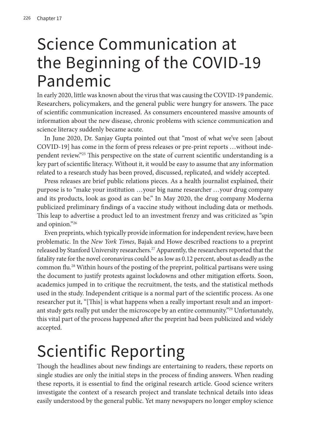# Science Communication at the Beginning of the COVID-19 Pandemic

In early 2020, little was known about the virus that was causing the COVID-19 pandemic. Researchers, policymakers, and the general public were hungry for answers. The pace of scientific communication increased. As consumers encountered massive amounts of information about the new disease, chronic problems with science communication and science literacy suddenly became acute.

In June 2020, Dr. Sanjay Gupta pointed out that "most of what we've seen [about COVID-19] has come in the form of press releases or pre-print reports …without independent review."25 This perspective on the state of current scientific understanding is a key part of scientific literacy. Without it, it would be easy to assume that any information related to a research study has been proved, discussed, replicated, and widely accepted.

Press releases are brief public relations pieces. As a health journalist explained, their purpose is to "make your institution …your big name researcher …your drug company and its products, look as good as can be." In May 2020, the drug company Moderna publicized preliminary findings of a vaccine study without including data or methods. This leap to advertise a product led to an investment frenzy and was criticized as "spin and opinion."26

Even preprints, which typically provide information for independent review, have been problematic. In the *New York Times*, Bajak and Howe described reactions to a preprint released by Stanford University researchers.<sup>27</sup> Apparently, the researchers reported that the fatality rate for the novel coronavirus could be as low as 0.12 percent, about as deadly as the common flu.28 Within hours of the posting of the preprint, political partisans were using the document to justify protests against lockdowns and other mitigation efforts. Soon, academics jumped in to critique the recruitment, the tests, and the statistical methods used in the study. Independent critique is a normal part of the scientific process. As one researcher put it, "[This] is what happens when a really important result and an important study gets really put under the microscope by an entire community.<sup>"29</sup> Unfortunately, this vital part of the process happened after the preprint had been publicized and widely accepted.

# Scientific Reporting

Though the headlines about new findings are entertaining to readers, these reports on single studies are only the initial steps in the process of finding answers. When reading these reports, it is essential to find the original research article. Good science writers investigate the context of a research project and translate technical details into ideas easily understood by the general public. Yet many newspapers no longer employ science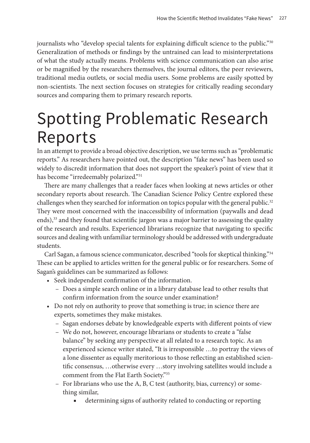journalists who "develop special talents for explaining difficult science to the public."30 Generalization of methods or findings by the untrained can lead to misinterpretations of what the study actually means. Problems with science communication can also arise or be magnified by the researchers themselves, the journal editors, the peer reviewers, traditional media outlets, or social media users. Some problems are easily spotted by non-scientists. The next section focuses on strategies for critically reading secondary sources and comparing them to primary research reports.

# Spotting Problematic Research Reports

In an attempt to provide a broad objective description, we use terms such as "problematic reports." As researchers have pointed out, the description "fake news" has been used so widely to discredit information that does not support the speaker's point of view that it has become "irredeemably polarized."<sup>31</sup>

There are many challenges that a reader faces when looking at news articles or other secondary reports about research. The Canadian Science Policy Centre explored these challenges when they searched for information on topics popular with the general public.<sup>32</sup> They were most concerned with the inaccessibility of information (paywalls and dead ends), $33$  and they found that scientific jargon was a major barrier to assessing the quality of the research and results. Experienced librarians recognize that navigating to specific sources and dealing with unfamiliar terminology should be addressed with undergraduate students.

Carl Sagan, a famous science communicator, described "tools for skeptical thinking."34 These can be applied to articles written for the general public or for researchers. Some of Sagan's guidelines can be summarized as follows:

- Seek independent confirmation of the information.
	- Does a simple search online or in a library database lead to other results that confirm information from the source under examination?
- Do not rely on authority to prove that something is true; in science there are experts, sometimes they make mistakes.
	- Sagan endorses debate by knowledgeable experts with different points of view
	- We do not, however, encourage librarians or students to create a "false balance" by seeking any perspective at all related to a research topic. As an experienced science writer stated, "It is irresponsible …to portray the views of a lone dissenter as equally meritorious to those reflecting an established scientific consensus, …otherwise every …story involving satellites would include a comment from the Flat Earth Society."35
	- For librarians who use the A, B, C test (authority, bias, currency) or something similar,
		- determining signs of authority related to conducting or reporting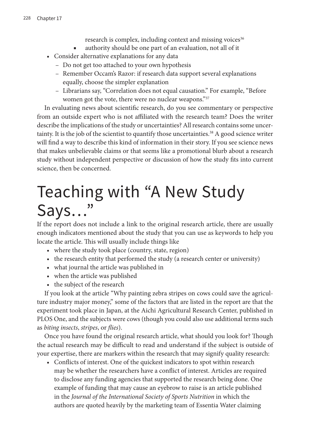research is complex, including context and missing voices<sup>36</sup>

- authority should be one part of an evaluation, not all of it
- Consider alternative explanations for any data
	- Do not get too attached to your own hypothesis
	- Remember Occam's Razor: if research data support several explanations equally, choose the simpler explanation
	- Librarians say, "Correlation does not equal causation." For example, "Before women got the vote, there were no nuclear weapons."<sup>37</sup>

In evaluating news about scientific research, do you see commentary or perspective from an outside expert who is not affiliated with the research team? Does the writer describe the implications of the study or uncertainties? All research contains some uncertainty. It is the job of the scientist to quantify those uncertainties. $38$  A good science writer will find a way to describe this kind of information in their story. If you see science news that makes unbelievable claims or that seems like a promotional blurb about a research study without independent perspective or discussion of how the study fits into current science, then be concerned.

# Teaching with "A New Study Says…"

If the report does not include a link to the original research article, there are usually enough indicators mentioned about the study that you can use as keywords to help you locate the article. This will usually include things like

- where the study took place (country, state, region)
- the research entity that performed the study (a research center or university)
- what journal the article was published in
- when the article was published
- the subject of the research

If you look at the article "Why painting zebra stripes on cows could save the agriculture industry major money," some of the factors that are listed in the report are that the experiment took place in Japan, at the Aichi Agricultural Research Center, published in PLOS One, and the subjects were cows (though you could also use additional terms such as *biting insects*, *stripes*, or *flies*).

Once you have found the original research article, what should you look for? Though the actual research may be difficult to read and understand if the subject is outside of your expertise, there are markers within the research that may signify quality research:

• Conflicts of interest. One of the quickest indicators to spot within research may be whether the researchers have a conflict of interest. Articles are required to disclose any funding agencies that supported the research being done. One example of funding that may cause an eyebrow to raise is an article published in the *Journal of the International Society of Sports Nutrition* in which the authors are quoted heavily by the marketing team of Essentia Water claiming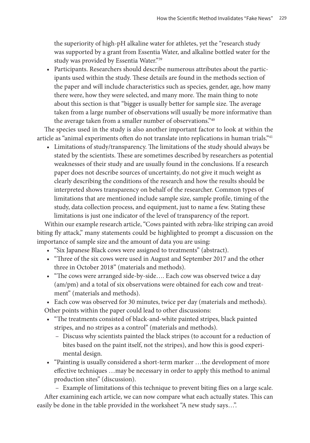the superiority of high-pH alkaline water for athletes, yet the "research study was supported by a grant from Essentia Water, and alkaline bottled water for the study was provided by Essentia Water."39

• Participants. Researchers should describe numerous attributes about the participants used within the study. These details are found in the methods section of the paper and will include characteristics such as species, gender, age, how many there were, how they were selected, and many more. The main thing to note about this section is that "bigger is usually better for sample size. The average taken from a large number of observations will usually be more informative than the average taken from a smaller number of observations."<sup>40</sup>

The species used in the study is also another important factor to look at within the article as "animal experiments often do not translate into replications in human trials."41

• Limitations of study/transparency. The limitations of the study should always be stated by the scientists. These are sometimes described by researchers as potential weaknesses of their study and are usually found in the conclusions. If a research paper does not describe sources of uncertainty, do not give it much weight as clearly describing the conditions of the research and how the results should be interpreted shows transparency on behalf of the researcher. Common types of limitations that are mentioned include sample size, sample profile, timing of the study, data collection process, and equipment, just to name a few. Stating these limitations is just one indicator of the level of transparency of the report.

Within our example research article, "Cows painted with zebra-like striping can avoid biting fly attack," many statements could be highlighted to prompt a discussion on the importance of sample size and the amount of data you are using:

- "Six Japanese Black cows were assigned to treatments" (abstract).
- "Three of the six cows were used in August and September 2017 and the other three in October 2018" (materials and methods).
- "The cows were arranged side-by-side…. Each cow was observed twice a day (am/pm) and a total of six observations were obtained for each cow and treatment" (materials and methods).

• Each cow was observed for 30 minutes, twice per day (materials and methods). Other points within the paper could lead to other discussions:

- "The treatments consisted of black-and-white painted stripes, black painted stripes, and no stripes as a control" (materials and methods).
	- Discuss why scientists painted the black stripes (to account for a reduction of bites based on the paint itself, not the stripes), and how this is good experimental design.
- "Painting is usually considered a short-term marker …the development of more effective techniques …may be necessary in order to apply this method to animal production sites" (discussion).

– Example of limitations of this technique to prevent biting flies on a large scale. After examining each article, we can now compare what each actually states. This can easily be done in the table provided in the worksheet "A new study says…".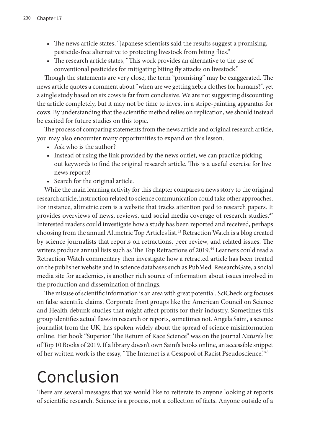- The news article states, "Japanese scientists said the results suggest a promising, pesticide-free alternative to protecting livestock from biting flies."
- The research article states, "This work provides an alternative to the use of conventional pesticides for mitigating biting fly attacks on livestock."

Though the statements are very close, the term "promising" may be exaggerated. The news article quotes a comment about "when are we getting zebra clothes for humans?", yet a single study based on six cows is far from conclusive. We are not suggesting discounting the article completely, but it may not be time to invest in a stripe-painting apparatus for cows. By understanding that the scientific method relies on replication, we should instead be excited for future studies on this topic.

The process of comparing statements from the news article and original research article, you may also encounter many opportunities to expand on this lesson.

- Ask who is the author?
- Instead of using the link provided by the news outlet, we can practice picking out keywords to find the original research article. This is a useful exercise for live news reports!
- Search for the original article.

While the main learning activity for this chapter compares a news story to the original research article, instruction related to science communication could take other approaches. For instance, [altmetric.com](http://altmetric.com) is a website that tracks attention paid to research papers. It provides overviews of news, reviews, and social media coverage of research studies.<sup>42</sup> Interested readers could investigate how a study has been reported and received, perhaps choosing from the annual Altmetric Top Articles list.<sup>43</sup> Retraction Watch is a blog created by science journalists that reports on retractions, peer review, and related issues. The writers produce annual lists such as The Top Retractions of 2019.44 Learners could read a Retraction Watch commentary then investigate how a retracted article has been treated on the publisher website and in science databases such as PubMed. ResearchGate, a social media site for academics, is another rich source of information about issues involved in the production and dissemination of findings.

The misuse of scientific information is an area with great potential. [SciCheck.org](http://SciCheck.org) focuses on false scientific claims. Corporate front groups like the American Council on Science and Health debunk studies that might affect profits for their industry. Sometimes this group identifies actual flaws in research or reports, sometimes not. Angela Saini, a science journalist from the UK, has spoken widely about the spread of science misinformation online. Her book "Superior: The Return of Race Science" was on the journal *Nature*'s list of Top 10 Books of 2019. If a library doesn't own Saini's books online, an accessible snippet of her written work is the essay, "The Internet is a Cesspool of Racist Pseudoscience."45

# Conclusion

There are several messages that we would like to reiterate to anyone looking at reports of scientific research. Science is a process, not a collection of facts. Anyone outside of a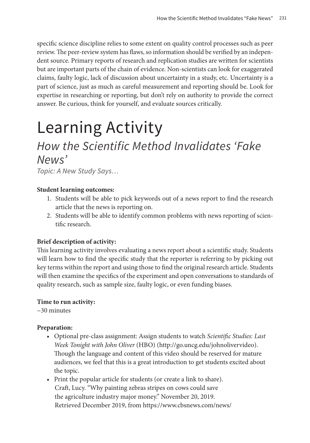specific science discipline relies to some extent on quality control processes such as peer review. The peer-review system has flaws, so information should be verified by an independent source. Primary reports of research and replication studies are written for scientists but are important parts of the chain of evidence. Non-scientists can look for exaggerated claims, faulty logic, lack of discussion about uncertainty in a study, etc. Uncertainty is a part of science, just as much as careful measurement and reporting should be. Look for expertise in researching or reporting, but don't rely on authority to provide the correct answer. Be curious, think for yourself, and evaluate sources critically.

# Learning Activity

### *How the Scientific Method Invalidates 'Fake News'*

*Topic: A New Study Says…*

#### **Student learning outcomes:**

- 1. Students will be able to pick keywords out of a news report to find the research article that the news is reporting on.
- 2. Students will be able to identify common problems with news reporting of scientific research.

#### **Brief description of activity:**

This learning activity involves evaluating a news report about a scientific study. Students will learn how to find the specific study that the reporter is referring to by picking out key terms within the report and using those to find the original research article. Students will then examine the specifics of the experiment and open conversations to standards of quality research, such as sample size, faulty logic, or even funding biases.

#### **Time to run activity:**

 $\approx$  30 minutes

#### **Preparation:**

- Optional pre-class assignment: Assign students to watch *Scientific Studies: Last Week Tonight with John Oliver* (HBO) (<http://go.uncg.edu/johnolivervideo>). Though the language and content of this video should be reserved for mature audiences, we feel that this is a great introduction to get students excited about the topic.
- Print the popular article for students (or create a link to share). Craft, Lucy. "Why painting zebras stripes on cows could save the agriculture industry major money." November 20, 2019. Retrieved December 2019, from [https://www.cbsnews.com/news/](https://www.cbsnews.com/news/zebra-stripes-on-cows-could-save-agriculture-industry-millions-experiment-japan-shows-deters-flies/)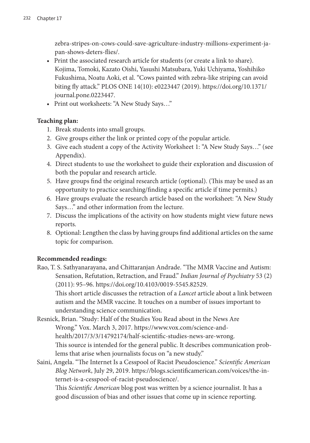[zebra-stripes-on-cows-could-save-agriculture-industry-millions-experiment-ja](https://www.cbsnews.com/news/zebra-stripes-on-cows-could-save-agriculture-industry-millions-experiment-japan-shows-deters-flies/)[pan-shows-deters-flies/.](https://www.cbsnews.com/news/zebra-stripes-on-cows-could-save-agriculture-industry-millions-experiment-japan-shows-deters-flies/)

- Print the associated research article for students (or create a link to share). Kojima, Tomoki, Kazato Oishi, Yasushi Matsubara, Yuki Uchiyama, Yoshihiko Fukushima, Noatu Aoki, et al. "Cows painted with zebra-like striping can avoid biting fly attack." PLOS ONE 14(10): e0223447 (2019). [https://doi.org/10.1371/](https://doi.org/10.1371/journal.pone.0223447) [journal.pone.0223447.](https://doi.org/10.1371/journal.pone.0223447)
- Print out worksheets: "A New Study Says…"

#### **Teaching plan:**

- 1. Break students into small groups.
- 2. Give groups either the link or printed copy of the popular article.
- 3. Give each student a copy of the Activity Worksheet 1: "A New Study Says…" (see Appendix).
- 4. Direct students to use the worksheet to guide their exploration and discussion of both the popular and research article.
- 5. Have groups find the original research article (optional). (This may be used as an opportunity to practice searching/finding a specific article if time permits.)
- 6. Have groups evaluate the research article based on the worksheet: "A New Study Says…" and other information from the lecture.
- 7. Discuss the implications of the activity on how students might view future news reports.
- 8. Optional: Lengthen the class by having groups find additional articles on the same topic for comparison.

#### **Recommended readings:**

Rao, T. S. Sathyanarayana, and Chittaranjan Andrade. "The MMR Vaccine and Autism: Sensation, Refutation, Retraction, and Fraud." *Indian Journal of Psychiatry* 53 (2) (2011): 95–96. <https://doi.org/10.4103/0019-5545.82529>.

This short article discusses the retraction of a *Lancet* article about a link between autism and the MMR vaccine. It touches on a number of issues important to understanding science communication.

- Resnick, Brian. "Study: Half of the Studies You Read about in the News Are Wrong." Vox. March 3, 2017. [https://www.vox.com/science-and](https://www.vox.com/science-and-health/2017/3/3/14792174/half-scientific-studies-news-are-wrong)[health/2017/3/3/14792174/half-scientific-studies-news-are-wrong](https://www.vox.com/science-and-health/2017/3/3/14792174/half-scientific-studies-news-are-wrong). This source is intended for the general public. It describes communication problems that arise when journalists focus on "a new study."
- Saini, Angela. "The Internet Is a Cesspool of Racist Pseudoscience." *Scientific American Blog Network*, July 29, 2019. [https://blogs.scientificamerican.com/voices/the-in](https://blogs.scientificamerican.com/voices/the-internet-is-a-cesspool-of-racist-pseudoscience/)[ternet-is-a-cesspool-of-racist-pseudoscience/](https://blogs.scientificamerican.com/voices/the-internet-is-a-cesspool-of-racist-pseudoscience/).

This *Scientific American* blog post was written by a science journalist. It has a good discussion of bias and other issues that come up in science reporting.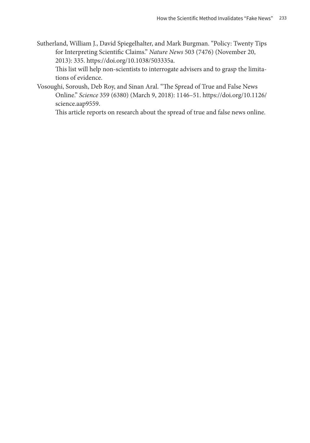Sutherland, William J., David Spiegelhalter, and Mark Burgman. "Policy: Twenty Tips for Interpreting Scientific Claims." *Nature News* 503 (7476) (November 20, 2013): 335[.](https://doi.org/10.1038/503335a) [https://doi.org/10.1038/503335a.](https://doi.org/10.1038/503335a)

This list will help non-scientists to interrogate advisers and to grasp the limitations of evidence.

Vosoughi, Soroush, Deb Roy, and Sinan Aral. "The Spread of True and False News Online." *Science* 359 (6380) (March 9, 2018): 1146–51. [https://doi.org/10.1126/](https://doi.org/10.1126/science.aap9559) [science.aap9559](https://doi.org/10.1126/science.aap9559).

This article reports on research about the spread of true and false news online.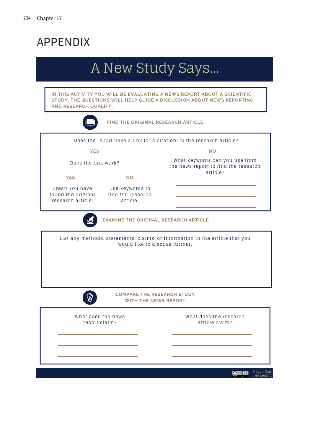### APPENDIX

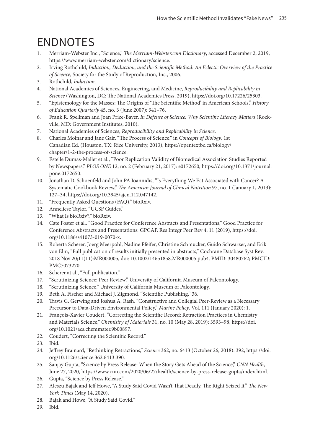### ENDNOTES

- 1. Merriam-Webster Inc., "Science," *The [Merriam-Webster.com](http://Merriam-Webster.com) Dictionary*, accessed December 2, 2019, [https://www.merriam-webster.com/dictionary/science.](https://www.merriam-webster.com/dictionary/science)
- 2. Irving Rothchild, *Induction, Deduction, and the Scientific Method: An Eclectic Overview of the Practice of Science*, Society for the Study of Reproduction, Inc., 2006.
- 3. Rothchild, *Induction*.
- 4. National Academies of Sciences, Engineering, and Medicine, *Reproducibility and Replicability in Science* (Washington, DC: The National Academies Press, 2019),<https://doi.org/10.17226/25303>.
- 5. "Epistemology for the Masses: The Origins of 'The Scientific Method' in American Schools," *History of Education Quarterly* 45, no. 3 (June 2007): 341–76.
- 6. Frank R. Spellman and Joan Price-Bayer, *In Defense of Science: Why Scientific Literacy Matters* (Rockville, MD: Government Institutes, 2010).
- 7. National Academies of Sciences, *Reproducibility and Replicability in Science*.
- 8. Charles Molnar and Jane Gair, "The Process of Science," in *Concepts of Biology*, 1st Canadian Ed. (Houston, TX: Rice University, 2013), [https://opentextbc.ca/biology/](https://opentextbc.ca/biology/chapter/1-2-the-process-of-science) [chapter/1-2-the-process-of-science.](https://opentextbc.ca/biology/chapter/1-2-the-process-of-science)
- 9. Estelle Dumas-Mallet et al., "Poor Replication Validity of Biomedical Association Studies Reported by Newspapers," *PLOS ONE* 12, no. 2 (February 21, 2017): e0172650, [https://doi.org/10.1371/journal.](https://doi.org/10.1371/journal.pone.0172650) [pone.0172650](https://doi.org/10.1371/journal.pone.0172650).
- 10. Jonathan D. Schoenfeld and John PA Ioannidis, "Is Everything We Eat Associated with Cancer? A Systematic Cookbook Review," *The American Journal of Clinical Nutrition* 97, no. 1 (January 1, 2013): 127–34, [https://doi.org/10.3945/ajcn.112.047142.](https://doi.org/10.3945/ajcn.112.047142)
- 11. "Frequently Asked Questions (FAQ)," bioRxiv.
- 12. Anneliese Taylor, "UCSF Guides."
- 13. "What Is bioRxiv?," bioRxiv.
- 14. Cate Foster et al., "Good Practice for Conference Abstracts and Presentations," Good Practice for Conference Abstracts and Presentations: GPCAP. Res Integr Peer Rev 4, 11 (2019), [https://doi.](https://doi.org/10.1186/s41073-019-0070-x) [org/10.1186/s41073-019-0070-x.](https://doi.org/10.1186/s41073-019-0070-x)
- 15. Roberta Scherer, Joerg Meerpohl, Nadine Pfeifer, Christine Schmucker, Guido Schwarzer, and Erik von Elm, "Full publication of results initially presented in abstracts," Cochrane Database Syst Rev. 2018 Nov 20;11(11):MR000005, doi: 10.1002/14651858.MR000005.pub4. PMID: 30480762; PMCID: PMC7073270.
- 16. Scherer at al., "Full publication."
- 17. "Scrutinizing Science: Peer Review," University of California Museum of Paleontology.
- 18. "Scrutinizing Science," University of California Museum of Paleontology.
- 19. Beth A. Fischer and Michael J. Zigmond, "Scientific Publishing," 36.
- 20. Travis G. Gerwing and Joshua A. Rash, "Constructive and Collegial Peer-Review as a Necessary Precursor to Data-Driven Environmental Policy," *Marine Policy*, Vol. 111 (January 2020): 1.
- 21. François-Xavier Coudert, "Correcting the Scientific Record: Retraction Practices in Chemistry and Materials Science," *Chemistry of Materials* 31, no. 10 (May 28, 2019): 3593–98, [https://doi.](https://doi.org/10.1021/acs.chemmater.9b00897) [org/10.1021/acs.chemmater.9b00897.](https://doi.org/10.1021/acs.chemmater.9b00897)
- 22. Coudert, "Correcting the Scientific Record."
- 23. Ibid.
- 24. Jeffrey Brainard, "Rethinking Retractions," *Science* 362, no. 6413 (October 26, 2018): 392, [https://doi.](https://doi.org/10.1126/science.362.6413.390) [org/10.1126/science.362.6413.390](https://doi.org/10.1126/science.362.6413.390).
- 25. Sanjay Gupta, "Science by Press Release: When the Story Gets Ahead of the Science," *CNN Health*, June 27, 2020, [https://www.cnn.com/2020/06/27/health/science-by-press-release-gupta/index.html.](https://www.cnn.com/2020/06/27/health/science-by-press-release-gupta/index.html)
- 26. Gupta, "Science by Press Release."
- 27. Aleszu Bajak and Jeff Howe, "A Study Said Covid Wasn't That Deadly. The Right Seized It." *The New York Times* (May 14, 2020).
- 28. Bajak and Howe, "A Study Said Covid."
- 29. Ibid.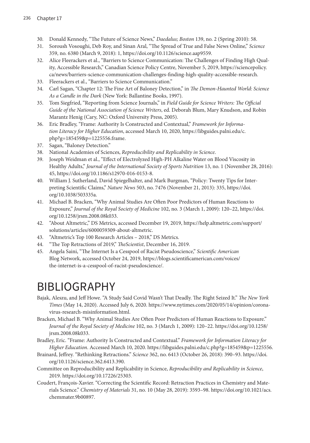- 30. Donald Kennedy, "The Future of Science News," *Daedalus; Boston* 139, no. 2 (Spring 2010): 58.
- 31. Soroush Vosoughi, Deb Roy, and Sinan Aral, "The Spread of True and False News Online," *Science* 359, no. 6380 (March 9, 2018): 1, [https://doi.org/10.1126/science.aap9559.](https://doi.org/10.1126/science.aap9559)
- 32. Alice Fleerackers et al., "Barriers to Science Communication: The Challenges of Finding High Quality, Accessible Research," Canadian Science Policy Centre, November 5, 2019, [https://sciencepolicy.](https://sciencepolicy.ca/news/barriers-science-communication-challenges-finding-high-quality-accessible-research) [ca/news/barriers-science-communication-challenges-finding-high-quality-accessible-research.](https://sciencepolicy.ca/news/barriers-science-communication-challenges-finding-high-quality-accessible-research)
- 33. Fleerackers et al., "Barriers to Science Communication."
- 34. Carl Sagan, "Chapter 12: The Fine Art of Baloney Detection," in *The Demon-Haunted World: Science As a Candle in the Dark* (New York: Ballantine Books, 1997).
- 35. Tom Siegfried, "Reporting from Science Journals," in *Field Guide for Science Writers: The Official Guide of the National Association of Science Writers*, ed. Deborah Blum, Mary Knudson, and Robin Marantz Henig (Cary, NC: Oxford University Press, 2005).
- 36. Eric Bradley, "Frame: Authority Is Constructed and Contextual," *Framework for Information Literacy for Higher Education*, accessed March 10, 2020, [https://libguides.palni.edu/c.](https://libguides.palni.edu/c.php?g=185459&p=1225556.frame) [php?g=185459&p=1225556.frame](https://libguides.palni.edu/c.php?g=185459&p=1225556.frame).
- 37. Sagan, "Baloney Detection."
- 38. National Academies of Sciences, *Reproducibility and Replicability in Science*.
- 39. Joseph Weidman et al., "Effect of Electrolyzed High-PH Alkaline Water on Blood Viscosity in Healthy Adults," *Journal of the International Society of Sports Nutrition* 13, no. 1 (November 28, 2016): 45, <https://doi.org/10.1186/s12970-016-0153-8>.
- 40. William J. Sutherland, David Spiegelhalter, and Mark Burgman, "Policy: Twenty Tips for Interpreting Scientific Claims," *Nature News* 503, no. 7476 (November 21, 2013): 335, [https://doi.](https://doi.org/10.1038/503335a) [org/10.1038/503335a.](https://doi.org/10.1038/503335a)
- 41. Michael B. Bracken, "Why Animal Studies Are Often Poor Predictors of Human Reactions to Exposure," *Journal of the Royal Society of Medicine* 102, no. 3 (March 1, 2009): 120–22, [https://doi.](https://doi.org/10.1258/jrsm.2008.08k033) [org/10.1258/jrsm.2008.08k033.](https://doi.org/10.1258/jrsm.2008.08k033)
- 42. "About Altmetric," DS Metrics, accessed December 19, 2019, [https://help.altmetric.com/support/](https://help.altmetric.com/support/solutions/articles/6000059309-about-altmetric) [solutions/articles/6000059309-about-altmetric.](https://help.altmetric.com/support/solutions/articles/6000059309-about-altmetric)
- 43. "Altmetric's Top 100 Research Articles 2018," DS Metrics.
- 44. "The Top Retractions of 2019," *TheScientist*, December 16, 2019.
- 45. Angela Saini, "The Internet Is a Cesspool of Racist Pseudoscience," *Scientific American* Blog Network, accessed October 24, 2019[,](https://blogs.scientificamerican.com/voices/the-internet-is-a-cesspool-of-racist-pseudoscience/) [https://blogs.scientificamerican.com/voices/](https://blogs.scientificamerican.com/voices/the-internet-is-a-cesspool-of-racist-pseudoscience/) [the-internet-is-a-cesspool-of-racist-pseudoscience/.](https://blogs.scientificamerican.com/voices/the-internet-is-a-cesspool-of-racist-pseudoscience/)

#### BIBLIOGRAPHY

- Bajak, Aleszu, and Jeff Howe. "A Study Said Covid Wasn't That Deadly. The Right Seized It." *The New York Times* (May 14, 2020). Accessed July 6, 2020[.](http://search.proquest.com/docview/2402271343/25A9020E044A4878PQ/1?accountid=14604) [https://www.nytimes.com/2020/05/14/opinion/corona](https://www.nytimes.com/2020/05/14/opinion/coronavirus-research-misinformation.html)[virus-research-misinformation.html](https://www.nytimes.com/2020/05/14/opinion/coronavirus-research-misinformation.html).
- Bracken, Michael B. "Why Animal Studies Are Often Poor Predictors of Human Reactions to Exposure." *Journal of the Royal Society of Medicine* 102, no. 3 (March 1, 2009): 120–22. [https://doi.org/10.1258/](https://doi.org/10.1258/jrsm.2008.08k033) [jrsm.2008.08k033.](https://doi.org/10.1258/jrsm.2008.08k033)
- Bradley, Eric. "Frame: Authority Is Constructed and Contextual." *Framework for Information Literacy for Higher Education*. Accessed March 10, 2020. [https://libguides.palni.edu/c.php?g=185459&p=1225556.](https://libguides.palni.edu/c.php?g=185459&p=1225556)
- Brainard, Jeffrey. "Rethinking Retractions." *Science* 362, no. 6413 (October 26, 2018): 390–93. [https://doi.](https://doi.org/10.1126/science.362.6413.390) [org/10.1126/science.362.6413.390](https://doi.org/10.1126/science.362.6413.390).
- Committee on Reproducibility and Replicability in Science, *Reproducibility and Replicability in Science*, 2019. [https://doi.org/10.17226/25303.](https://doi.org/10.17226/25303)
- Coudert, François-Xavier. "Correcting the Scientific Record: Retraction Practices in Chemistry and Materials Science." *Chemistry of Materials* 31, no. 10 (May 28, 2019): 3593–98. [https://doi.org/10.1021/acs.](https://doi.org/10.1021/acs.chemmater.9b00897) [chemmater.9b00897.](https://doi.org/10.1021/acs.chemmater.9b00897)